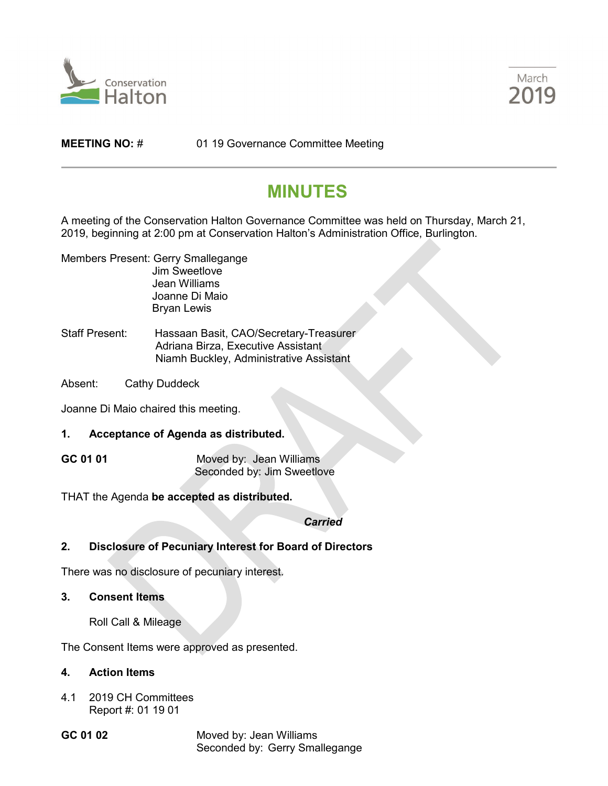



**MEETING NO:** # 01 19 Governance Committee Meeting

## **MINUTES**

A meeting of the Conservation Halton Governance Committee was held on Thursday, March 21, 2019, beginning at 2:00 pm at Conservation Halton's Administration Office, Burlington.

- Members Present: Gerry Smallegange Jim Sweetlove Jean Williams Joanne Di Maio Bryan Lewis
- Staff Present: Hassaan Basit, CAO/Secretary-Treasurer Adriana Birza, Executive Assistant Niamh Buckley, Administrative Assistant
- Absent: Cathy Duddeck

Joanne Di Maio chaired this meeting.

- **1. Acceptance of Agenda as distributed.**
- **GC 01 01** Moved by: Jean Williams Seconded by: Jim Sweetlove

THAT the Agenda **be accepted as distributed.**

*Carried*

**2. Disclosure of Pecuniary Interest for Board of Directors**

There was no disclosure of pecuniary interest.

- **3. Consent Items**
	- Roll Call & Mileage

The Consent Items were approved as presented.

## **4. Action Items**

- 4.1 2019 CH Committees Report #: 01 19 01
- 

**GC 01 02** Moved by: Jean Williams Seconded by: Gerry Smallegange